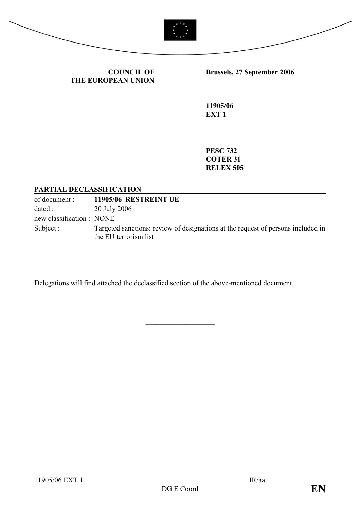



COUNCIL OF THE EUROPEAN UNION Brussels, 27 September 2006

11905/06 EXT<sub>1</sub>

PESC 732 COTER 31 RELEX 505

#### PARTIAL DECLASSIFICATION

of document : 11905/06 RESTREINT UE dated : 20 July 2006 new classification : NONE Subject : Targeted sanctions: review of designations at the request of persons included in the EU terrorism list

\_\_\_\_\_\_\_\_\_\_\_\_\_\_\_\_\_\_\_

Delegations will find attached the declassified section of the above-mentioned document.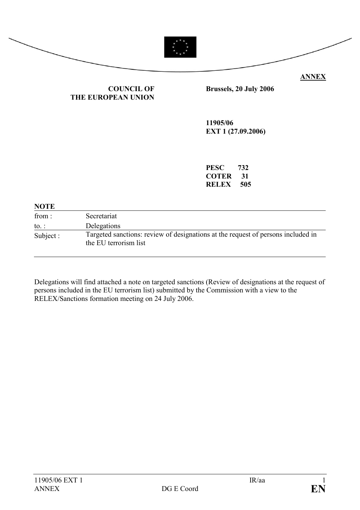

#### COUNCIL OF THE EUROPEAN UNION

Brussels, 20 July 2006

11905/06 EXT 1 (27.09.2006)

| <b>PESC</b>  | 732 |
|--------------|-----|
| <b>COTER</b> | 31  |
| RELEX        | 505 |

#### **NOTE**

| from:        | Secretariat                                                                                               |
|--------------|-----------------------------------------------------------------------------------------------------------|
| to. $\colon$ | Delegations                                                                                               |
| Subject:     | Targeted sanctions: review of designations at the request of persons included in<br>the EU terrorism list |

Delegations will find attached a note on targeted sanctions (Review of designations at the request of persons included in the EU terrorism list) submitted by the Commission with a view to the RELEX/Sanctions formation meeting on 24 July 2006.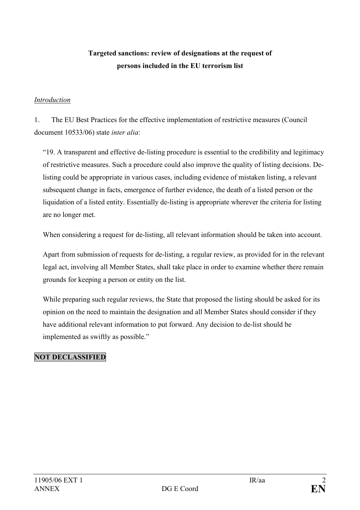## Targeted sanctions: review of designations at the request of persons included in the EU terrorism list

#### Introduction

1. The EU Best Practices for the effective implementation of restrictive measures (Council document 10533/06) state inter alia:

"19. A transparent and effective de-listing procedure is essential to the credibility and legitimacy of restrictive measures. Such a procedure could also improve the quality of listing decisions. Delisting could be appropriate in various cases, including evidence of mistaken listing, a relevant subsequent change in facts, emergence of further evidence, the death of a listed person or the liquidation of a listed entity. Essentially de-listing is appropriate wherever the criteria for listing are no longer met.

When considering a request for de-listing, all relevant information should be taken into account.

Apart from submission of requests for de-listing, a regular review, as provided for in the relevant legal act, involving all Member States, shall take place in order to examine whether there remain grounds for keeping a person or entity on the list.

While preparing such regular reviews, the State that proposed the listing should be asked for its opinion on the need to maintain the designation and all Member States should consider if they have additional relevant information to put forward. Any decision to de-list should be implemented as swiftly as possible."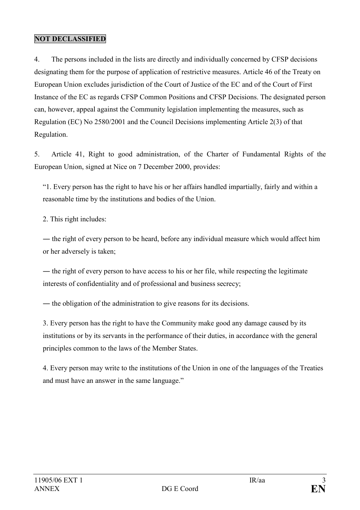4. The persons included in the lists are directly and individually concerned by CFSP decisions designating them for the purpose of application of restrictive measures. Article 46 of the Treaty on European Union excludes jurisdiction of the Court of Justice of the EC and of the Court of First Instance of the EC as regards CFSP Common Positions and CFSP Decisions. The designated person can, however, appeal against the Community legislation implementing the measures, such as Regulation (EC) No 2580/2001 and the Council Decisions implementing Article 2(3) of that Regulation.

5. Article 41, Right to good administration, of the Charter of Fundamental Rights of the European Union, signed at Nice on 7 December 2000, provides:

"1. Every person has the right to have his or her affairs handled impartially, fairly and within a reasonable time by the institutions and bodies of the Union.

2. This right includes:

― the right of every person to be heard, before any individual measure which would affect him or her adversely is taken;

— the right of every person to have access to his or her file, while respecting the legitimate interests of confidentiality and of professional and business secrecy;

― the obligation of the administration to give reasons for its decisions.

3. Every person has the right to have the Community make good any damage caused by its institutions or by its servants in the performance of their duties, in accordance with the general principles common to the laws of the Member States.

4. Every person may write to the institutions of the Union in one of the languages of the Treaties and must have an answer in the same language."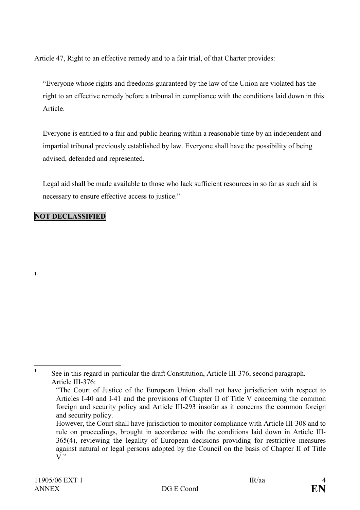Article 47, Right to an effective remedy and to a fair trial, of that Charter provides:

"Everyone whose rights and freedoms guaranteed by the law of the Union are violated has the right to an effective remedy before a tribunal in compliance with the conditions laid down in this Article.

Everyone is entitled to a fair and public hearing within a reasonable time by an independent and impartial tribunal previously established by law. Everyone shall have the possibility of being advised, defended and represented.

Legal aid shall be made available to those who lack sufficient resources in so far as such aid is necessary to ensure effective access to justice."

### NOT DECLASSIFIED

1

 $\frac{1}{1}$  See in this regard in particular the draft Constitution, Article III-376, second paragraph. Article III-376:

 <sup>&</sup>quot;The Court of Justice of the European Union shall not have jurisdiction with respect to Articles I-40 and I-41 and the provisions of Chapter II of Title V concerning the common foreign and security policy and Article III-293 insofar as it concerns the common foreign and security policy.

However, the Court shall have jurisdiction to monitor compliance with Article III-308 and to rule on proceedings, brought in accordance with the conditions laid down in Article III-365(4), reviewing the legality of European decisions providing for restrictive measures against natural or legal persons adopted by the Council on the basis of Chapter II of Title  $V$ ."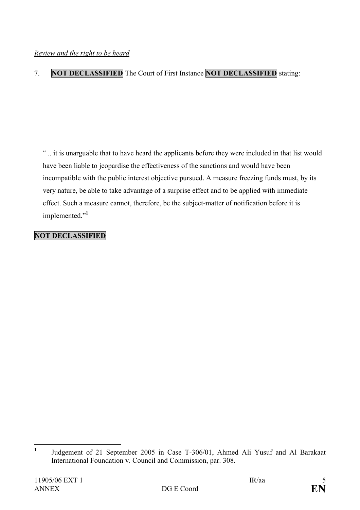## 7. NOT DECLASSIFIED The Court of First Instance NOT DECLASSIFIED stating:

" .. it is unarguable that to have heard the applicants before they were included in that list would have been liable to jeopardise the effectiveness of the sanctions and would have been incompatible with the public interest objective pursued. A measure freezing funds must, by its very nature, be able to take advantage of a surprise effect and to be applied with immediate effect. Such a measure cannot, therefore, be the subject-matter of notification before it is implemented."<sup>1</sup>

 $\frac{1}{1}$  Judgement of 21 September 2005 in Case T-306/01, Ahmed Ali Yusuf and Al Barakaat International Foundation v. Council and Commission, par. 308.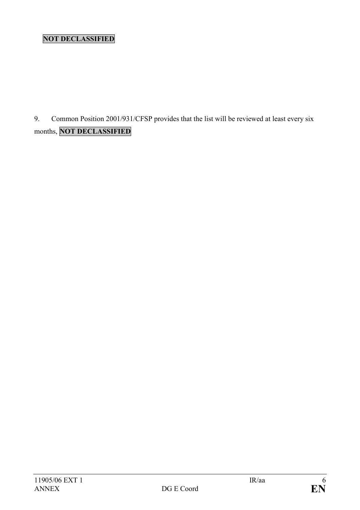9. Common Position 2001/931/CFSP provides that the list will be reviewed at least every six months, NOT DECLASSIFIED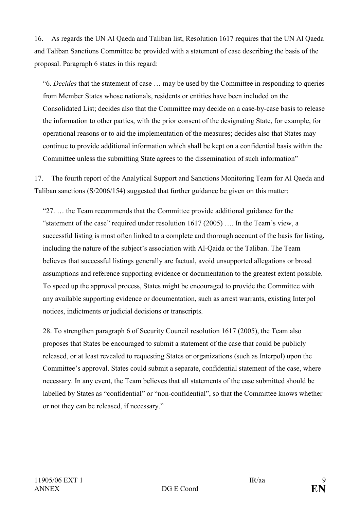16. As regards the UN Al Qaeda and Taliban list, Resolution 1617 requires that the UN Al Qaeda and Taliban Sanctions Committee be provided with a statement of case describing the basis of the proposal. Paragraph 6 states in this regard:

"6. Decides that the statement of case … may be used by the Committee in responding to queries from Member States whose nationals, residents or entities have been included on the Consolidated List; decides also that the Committee may decide on a case-by-case basis to release the information to other parties, with the prior consent of the designating State, for example, for operational reasons or to aid the implementation of the measures; decides also that States may continue to provide additional information which shall be kept on a confidential basis within the Committee unless the submitting State agrees to the dissemination of such information"

17. The fourth report of the Analytical Support and Sanctions Monitoring Team for Al Qaeda and Taliban sanctions (S/2006/154) suggested that further guidance be given on this matter:

"27. … the Team recommends that the Committee provide additional guidance for the "statement of the case" required under resolution  $1617 (2005)$  ... In the Team's view, a successful listing is most often linked to a complete and thorough account of the basis for listing, including the nature of the subject's association with Al-Qaida or the Taliban. The Team believes that successful listings generally are factual, avoid unsupported allegations or broad assumptions and reference supporting evidence or documentation to the greatest extent possible. To speed up the approval process, States might be encouraged to provide the Committee with any available supporting evidence or documentation, such as arrest warrants, existing Interpol notices, indictments or judicial decisions or transcripts.

28. To strengthen paragraph 6 of Security Council resolution 1617 (2005), the Team also proposes that States be encouraged to submit a statement of the case that could be publicly released, or at least revealed to requesting States or organizations (such as Interpol) upon the Committee's approval. States could submit a separate, confidential statement of the case, where necessary. In any event, the Team believes that all statements of the case submitted should be labelled by States as "confidential" or "non-confidential", so that the Committee knows whether or not they can be released, if necessary."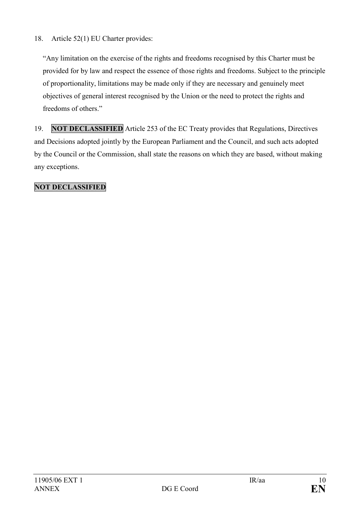### 18. Article 52(1) EU Charter provides:

"Any limitation on the exercise of the rights and freedoms recognised by this Charter must be provided for by law and respect the essence of those rights and freedoms. Subject to the principle of proportionality, limitations may be made only if they are necessary and genuinely meet objectives of general interest recognised by the Union or the need to protect the rights and freedoms of others."

19. NOT DECLASSIFIED Article 253 of the EC Treaty provides that Regulations, Directives and Decisions adopted jointly by the European Parliament and the Council, and such acts adopted by the Council or the Commission, shall state the reasons on which they are based, without making any exceptions.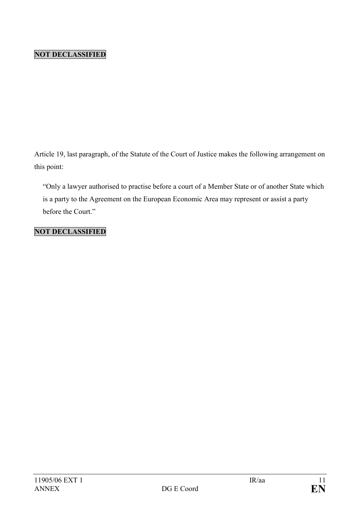Article 19, last paragraph, of the Statute of the Court of Justice makes the following arrangement on this point:

"Only a lawyer authorised to practise before a court of a Member State or of another State which is a party to the Agreement on the European Economic Area may represent or assist a party before the Court."